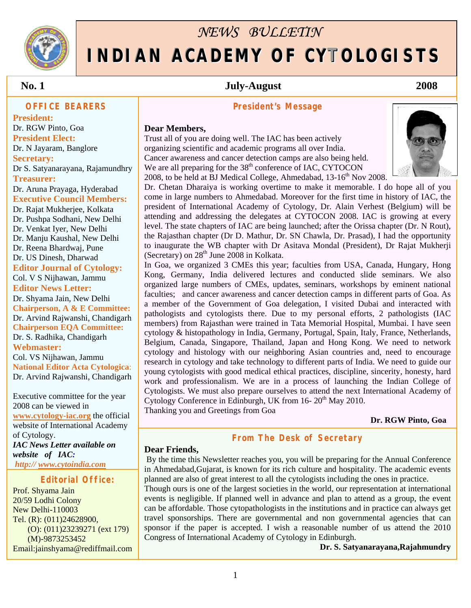

# *NEWS BULLETIN*  **INDIAN ACADEMY OF CYTOLOGISTS**

 **No. 1 July-August 2008**

#### **OFFICE BEARERS**

0

**President:** Dr. RGW Pinto, Goa **President Elect:**  Dr. N Jayaram, Banglore **Secretary:**  Dr S. Satyanarayana, Rajamundhry **Treasurer:**  Dr. Aruna Prayaga, Hyderabad **Executive Council Members:**  Dr. Rajat Mukherjee, Kolkata Dr. Pushpa Sodhani, New Delhi Dr. Venkat Iyer, New Delhi Dr. Manju Kaushal, New Delhi Dr. Reena Bhardwaj, Pune Dr. US Dinesh, Dharwad **Editor Journal of Cytology:**  Col. V S Nijhawan, Jammu **Editor News Letter:**  Dr. Shyama Jain, New Delhi **Chairperson, A & E Committee:** Dr. Arvind Rajwanshi, Chandigarh

**Chairperson EQA Committee:**  Dr. S. Radhika, Chandigarh **Webmaster:**  Col. VS Nijhawan, Jammu **National Editor Acta Cytologica**: Dr. Arvind Rajwanshi, Chandigarh

Executive committee for the year 2008 can be viewed in **[www.cytology-iac.org](http://www.cytology-iac.org/)** the official website of International Academy of Cytology. *IAC News Letter available on website of IAC: http:// [www.cytoindia.com](http://www.cytoindia.com/)*

#### **Editorial Office:**

Prof. Shyama Jain 20/59 Lodhi Colony New Delhi-110003 Tel. (R): (011)24628900, (O): (011)23239271 (ext 179) (M)-9873253452 Email:jainshyama@rediffmail.com

#### **President's Message**

#### **Dear Members,**

Trust all of you are doing well. The IAC has been actively organizing scientific and academic programs all over India. Cancer awareness and cancer detection camps are also being held. We are all preparing for the  $38<sup>th</sup>$  conference of IAC, CYTOCON 2008, to be held at BJ Medical College, Ahmedabad, 13-16<sup>th</sup> Nov 2008.



Dr. Chetan Dharaiya is working overtime to make it memorable. I do hope all of you come in large numbers to Ahmedabad. Moreover for the first time in history of IAC, the president of International Academy of Cytology, Dr. Alain Verhest (Belgium) will be attending and addressing the delegates at CYTOCON 2008. IAC is growing at every level. The state chapters of IAC are being launched; after the Orissa chapter (Dr. N Rout), the Rajasthan chapter (Dr D. Mathur, Dr. SN Chawla, Dr. Prasad), I had the opportunity to inaugurate the WB chapter with Dr Asitava Mondal (President), Dr Rajat Mukherji (Secretary) on  $28<sup>th</sup>$  June 2008 in Kolkata.

In Goa, we organized 3 CMEs this year; faculties from USA, Canada, Hungary, Hong Kong, Germany, India delivered lectures and conducted slide seminars. We also organized large numbers of CMEs, updates, seminars, workshops by eminent national faculties; and cancer awareness and cancer detection camps in different parts of Goa. As a member of the Government of Goa delegation, I visited Dubai and interacted with pathologists and cytologists there. Due to my personal efforts, 2 pathologists (IAC members) from Rajasthan were trained in Tata Memorial Hospital, Mumbai. I have seen cytology & histopathology in India, Germany, Portugal, Spain, Italy, France, Netherlands, Belgium, Canada, Singapore, Thailand, Japan and Hong Kong. We need to network cytology and histology with our neighboring Asian countries and, need to encourage research in cytology and take technology to different parts of India. We need to guide our young cytologists with good medical ethical practices, discipline, sincerity, honesty, hard work and professionalism. We are in a process of launching the Indian College of Cytologists. We must also prepare ourselves to attend the next International Academy of Cytology Conference in Edinburgh, UK from  $16-20<sup>th</sup>$  May 2010. Thanking you and Greetings from Goa

 **Dr. RGW Pinto, Goa** 

#### **From The Desk of Secretary**

#### **Dear Friends,**

 By the time this Newsletter reaches you, you will be preparing for the Annual Conference in Ahmedabad,Gujarat, is known for its rich culture and hospitality. The academic events planned are also of great interest to all the cytologists including the ones in practice.

Though ours is one of the largest societies in the world, our representation at international events is negligible. If planned well in advance and plan to attend as a group, the event can be affordable. Those cytopathologists in the institutions and in practice can always get travel sponsorships. There are governmental and non governmental agencies that can sponsor if the paper is accepted. I wish a reasonable number of us attend the 2010 Congress of International Academy of Cytology in Edinburgh.

 **Dr. S. Satyanarayana,Rajahmundry**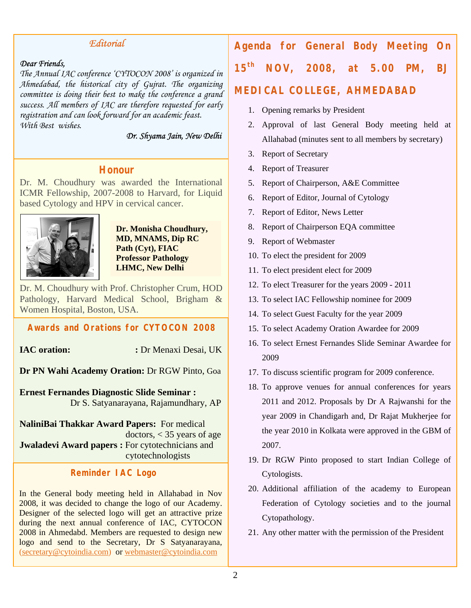#### *Editorial*

#### *Dear Friends,*

*The Annual IAC conference 'CYTOCON 2008' is organized in Ahmedabad, the historical city of Gujrat. The organizing committee is doing their best to make the conference a grand success. All members of IAC are therefore requested for early registration and can look forward for an academic feast. With Best wishes.* 

 *Dr. Shyama Jain, New Delhi* 

### **Honour**

Dr. M. Choudhury was awarded the International ICMR Fellowship, 2007-2008 to Harvard, for Liquid based Cytology and HPV in cervical cancer.



**Dr. Monisha Choudhury, MD, MNAMS, Dip RC Path (Cyt), FIAC Professor Pathology LHMC, New Delhi** 

Dr. M. Choudhury with Prof. Christopher Crum, HOD Pathology, Harvard Medical School, Brigham & Women Hospital, Boston, USA.

#### **Awards and Orations for CYTOCON 2008**

**IAC oration:** : Dr Menaxi Desai, UK

**Dr PN Wahi Academy Oration:** Dr RGW Pinto, Goa

**Ernest Fernandes Diagnostic Slide Seminar :**  Dr S. Satyanarayana, Rajamundhary, AP

**NaliniBai Thakkar Award Papers:** For medical doctors, < 35 years of age **Jwaladevi Award papers :** For cytotechnicians and cytotechnologists

#### **Reminder IAC Logo**

In the General body meeting held in Allahabad in Nov 2008, it was decided to change the logo of our Academy. Designer of the selected logo will get an attractive prize during the next annual conference of IAC, CYTOCON 2008 in Ahmedabd. Members are requested to design new logo and send to the Secretary, Dr S Satyanarayana, ([secretary@cytoindia.com](http://f5mail.rediff.com/bn/compose.cgi?login=jainshyama&session_id=5L22PK1KPKVqK3i0NKJdBgH2pmVMsJMV&FormName=mail_to_individual&email=secretary@cytoindia.com)) or [webmaster@cytoindia.com](mailto:webmaster@cytoindia.com)

# **Agenda for General Body Meeting On 15th NOV, 2008, at 5.00 PM, BJ**

### **MEDICAL COLLEGE, AHMEDABAD**

- 1. Opening remarks by President
- 2. Approval of last General Body meeting held at Allahabad (minutes sent to all members by secretary)
- 3. Report of Secretary
- 4. Report of Treasurer
- 5. Report of Chairperson, A&E Committee
- 6. Report of Editor, Journal of Cytology
- 7. Report of Editor, News Letter
- 8. Report of Chairperson EQA committee
- 9. Report of Webmaster
- 10. To elect the president for 2009
- 11. To elect president elect for 2009
- 12. To elect Treasurer for the years 2009 2011
- 13. To select IAC Fellowship nominee for 2009
- 14. To select Guest Faculty for the year 2009
- 15. To select Academy Oration Awardee for 2009
- 16. To select Ernest Fernandes Slide Seminar Awardee for 2009
- 17. To discuss scientific program for 2009 conference.
- 18. To approve venues for annual conferences for years 2011 and 2012. Proposals by Dr A Rajwanshi for the year 2009 in Chandigarh and, Dr Rajat Mukherjee for the year 2010 in Kolkata were approved in the GBM of 2007.
- 19. Dr RGW Pinto proposed to start Indian College of Cytologists.
- 20. Additional affiliation of the academy to European Federation of Cytology societies and to the journal Cytopathology.
- 21. Any other matter with the permission of the President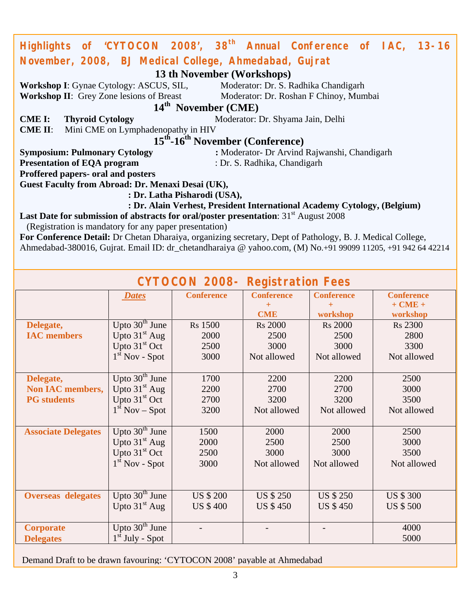| Highlights of 'CYTOCON 2008', 38 <sup>th</sup> Annual Conference of IAC, 13-16                              |                                                              |                                 |                   |                   |  |                   |  |  |  |
|-------------------------------------------------------------------------------------------------------------|--------------------------------------------------------------|---------------------------------|-------------------|-------------------|--|-------------------|--|--|--|
| November, 2008, BJ Medical College, Ahmedabad, Gujrat                                                       |                                                              |                                 |                   |                   |  |                   |  |  |  |
| 13 th November (Workshops)                                                                                  |                                                              |                                 |                   |                   |  |                   |  |  |  |
| Workshop I: Gynae Cytology: ASCUS, SIL, Moderator: Dr. S. Radhika Chandigarh                                |                                                              |                                 |                   |                   |  |                   |  |  |  |
| Workshop II: Grey Zone lesions of Breast Moderator: Dr. Roshan F Chinoy, Mumbai                             |                                                              |                                 |                   |                   |  |                   |  |  |  |
|                                                                                                             |                                                              | 14 <sup>th</sup> November (CME) |                   |                   |  |                   |  |  |  |
| <b>CME I:</b>                                                                                               | <b>Thyroid Cytology</b><br>Moderator: Dr. Shyama Jain, Delhi |                                 |                   |                   |  |                   |  |  |  |
| Mini CME on Lymphadenopathy in HIV<br><b>CME II:</b>                                                        |                                                              |                                 |                   |                   |  |                   |  |  |  |
| 15 <sup>th</sup> -16 <sup>th</sup> November (Conference)                                                    |                                                              |                                 |                   |                   |  |                   |  |  |  |
| : Moderator- Dr Arvind Rajwanshi, Chandigarh<br><b>Symposium: Pulmonary Cytology</b>                        |                                                              |                                 |                   |                   |  |                   |  |  |  |
| <b>Presentation of EQA program</b><br>: Dr. S. Radhika, Chandigarh                                          |                                                              |                                 |                   |                   |  |                   |  |  |  |
| Proffered papers- oral and posters                                                                          |                                                              |                                 |                   |                   |  |                   |  |  |  |
| Guest Faculty from Abroad: Dr. Menaxi Desai (UK),                                                           |                                                              |                                 |                   |                   |  |                   |  |  |  |
| : Dr. Latha Pisharodi (USA),                                                                                |                                                              |                                 |                   |                   |  |                   |  |  |  |
| : Dr. Alain Verhest, President International Academy Cytology, (Belgium)                                    |                                                              |                                 |                   |                   |  |                   |  |  |  |
| Last Date for submission of abstracts for oral/poster presentation: 31 <sup>st</sup> August 2008            |                                                              |                                 |                   |                   |  |                   |  |  |  |
| (Registration is mandatory for any paper presentation)                                                      |                                                              |                                 |                   |                   |  |                   |  |  |  |
| For Conference Detail: Dr Chetan Dharaiya, organizing secretary, Dept of Pathology, B. J. Medical College,  |                                                              |                                 |                   |                   |  |                   |  |  |  |
| Ahmedabad-380016, Gujrat. Email ID: dr_chetandharaiya @ yahoo.com, (M) No.+91 99099 11205, +91 942 64 42214 |                                                              |                                 |                   |                   |  |                   |  |  |  |
|                                                                                                             |                                                              |                                 |                   |                   |  |                   |  |  |  |
| <b>CYTOCON 2008- Registration Fees</b>                                                                      |                                                              |                                 |                   |                   |  |                   |  |  |  |
|                                                                                                             | <b>Dates</b>                                                 | <b>Conference</b>               | <b>Conference</b> | <b>Conference</b> |  | <b>Conference</b> |  |  |  |
|                                                                                                             |                                                              |                                 | $\pm$             | $+$               |  | $+ CME +$         |  |  |  |

|                            | <b>Dates</b>      | Conference       | Conference       | Conference       | Conference       |  |
|----------------------------|-------------------|------------------|------------------|------------------|------------------|--|
|                            |                   |                  | $\pm$            |                  | $+ CME +$        |  |
|                            |                   |                  | <b>CME</b>       | workshop         | workshop         |  |
| Delegate,                  | Upto $30th$ June  | <b>Rs</b> 1500   | <b>Rs</b> 2000   | <b>Rs 2000</b>   | <b>Rs</b> 2300   |  |
| <b>IAC</b> members         | Upto $31st$ Aug   | 2000             | 2500             | 2500             | 2800             |  |
|                            | Upto $31st$ Oct   | 2500             | 3000             | 3000             | 3300             |  |
|                            | $1st$ Nov - Spot  | 3000             | Not allowed      | Not allowed      | Not allowed      |  |
|                            |                   |                  |                  |                  |                  |  |
| Delegate,                  | Upto $30th$ June  | 1700             | 2200             | 2200             | 2500             |  |
| <b>Non IAC members,</b>    | Upto $31st$ Aug   | 2200             | 2700             | 2700             | 3000             |  |
| <b>PG</b> students         | Upto $31st$ Oct   | 2700             | 3200             | 3200             | 3500             |  |
|                            | $1st$ Nov – Spot  | 3200             | Not allowed      | Not allowed      | Not allowed      |  |
|                            |                   |                  |                  |                  |                  |  |
| <b>Associate Delegates</b> | Upto $30th$ June  | 1500             | 2000             | 2000             | 2500             |  |
|                            | Upto $31st$ Aug   | 2000             | 2500             | 2500             | 3000             |  |
|                            | Upto $31st$ Oct   | 2500             | 3000             | 3000             | 3500             |  |
|                            | $1st$ Nov - Spot  | 3000             | Not allowed      | Not allowed      | Not allowed      |  |
|                            |                   |                  |                  |                  |                  |  |
|                            |                   |                  |                  |                  |                  |  |
| <b>Overseas delegates</b>  | Upto $30th$ June  | <b>US \$ 200</b> | <b>US \$ 250</b> | <b>US \$ 250</b> | <b>US \$ 300</b> |  |
|                            | Upto $31st$ Aug   | <b>US \$400</b>  | <b>US \$450</b>  | <b>US \$450</b>  | <b>US \$500</b>  |  |
|                            |                   |                  |                  |                  |                  |  |
| <b>Corporate</b>           | Upto $30th$ June  |                  |                  |                  | 4000             |  |
| <b>Delegates</b>           | $1st$ July - Spot |                  |                  |                  | 5000             |  |
|                            |                   |                  |                  |                  |                  |  |

Demand Draft to be drawn favouring: 'CYTOCON 2008' payable at Ahmedabad